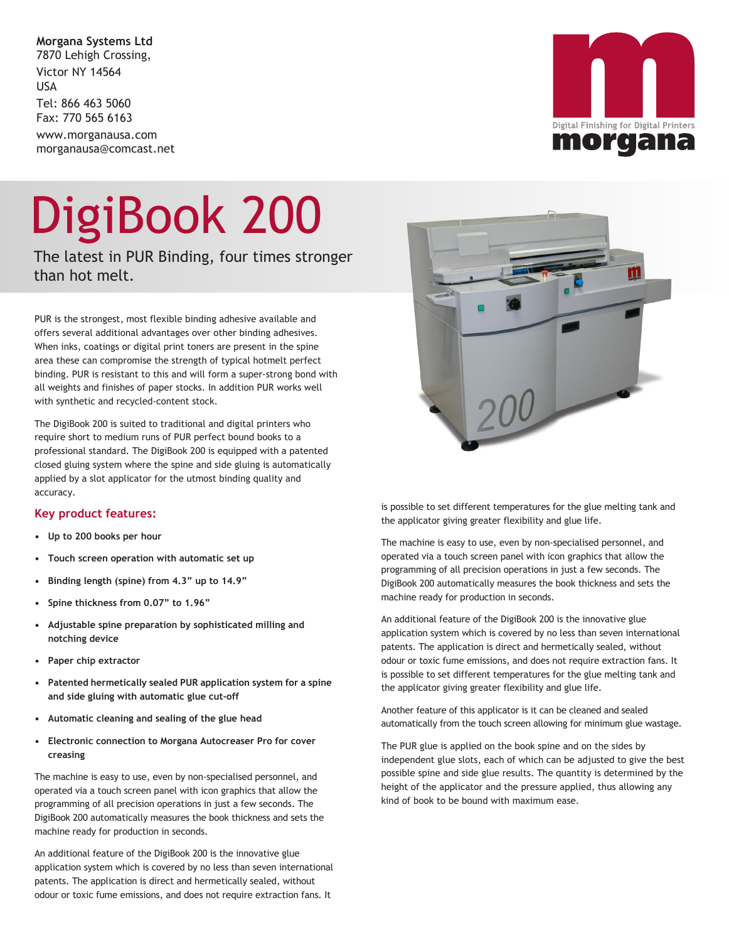**Morgana Systems Ltd** 7870 Lehigh Crossing, Victor NY 14564 USA Tel: 866 463 5060 Fax: 770 565 6163 www.morganausa.com morganausa@comcast.net

# DigiBook 200

The latest in PUR Binding, four times stronger than hot melt.

PUR is the strongest, most flexible binding adhesive available and offers several additional advantages over other binding adhesives. When inks, coatings or digital print toners are present in the spine area these can compromise the strength of typical hotmelt perfect binding. PUR is resistant to this and will form a super-strong bond with all weights and finishes of paper stocks. In addition PUR works well with synthetic and recycled-content stock.

The DigiBook 200 is suited to traditional and digital printers who require short to medium runs of PUR perfect bound books to a professional standard. The DigiBook 200 is equipped with a patented closed gluing system where the spine and side gluing is automatically applied by a slot applicator for the utmost binding quality and accuracy.

### **Key product features:**

- **• Up to 200 books per hour**
- **• Touch screen operation with automatic set up**
- **• Binding length (spine) from 4.3" up to 14.9"**
- **• Spine thickness from 0.07" to 1.96"**
- **• Adjustable spine preparation by sophisticated milling and notching device**
- **• Paper chip extractor**
- **• Patented hermetically sealed PUR application system for a spine and side gluing with automatic glue cut-off**
- **• Automatic cleaning and sealing of the glue head**
- **• Electronic connection to Morgana Autocreaser Pro for cover creasing**

The machine is easy to use, even by non-specialised personnel, and operated via a touch screen panel with icon graphics that allow the programming of all precision operations in just a few seconds. The DigiBook 200 automatically measures the book thickness and sets the machine ready for production in seconds.

An additional feature of the DigiBook 200 is the innovative glue application system which is covered by no less than seven international patents. The application is direct and hermetically sealed, without odour or toxic fume emissions, and does not require extraction fans. It

is possible to set different temperatures for the glue melting tank and the applicator giving greater flexibility and glue life.

The machine is easy to use, even by non-specialised personnel, and operated via a touch screen panel with icon graphics that allow the programming of all precision operations in just a few seconds. The DigiBook 200 automatically measures the book thickness and sets the machine ready for production in seconds.

An additional feature of the DigiBook 200 is the innovative glue application system which is covered by no less than seven international patents. The application is direct and hermetically sealed, without odour or toxic fume emissions, and does not require extraction fans. It is possible to set different temperatures for the glue melting tank and the applicator giving greater flexibility and glue life.

Another feature of this applicator is it can be cleaned and sealed automatically from the touch screen allowing for minimum glue wastage.

The PUR glue is applied on the book spine and on the sides by independent glue slots, each of which can be adjusted to give the best possible spine and side glue results. The quantity is determined by the height of the applicator and the pressure applied, thus allowing any kind of book to be bound with maximum ease.